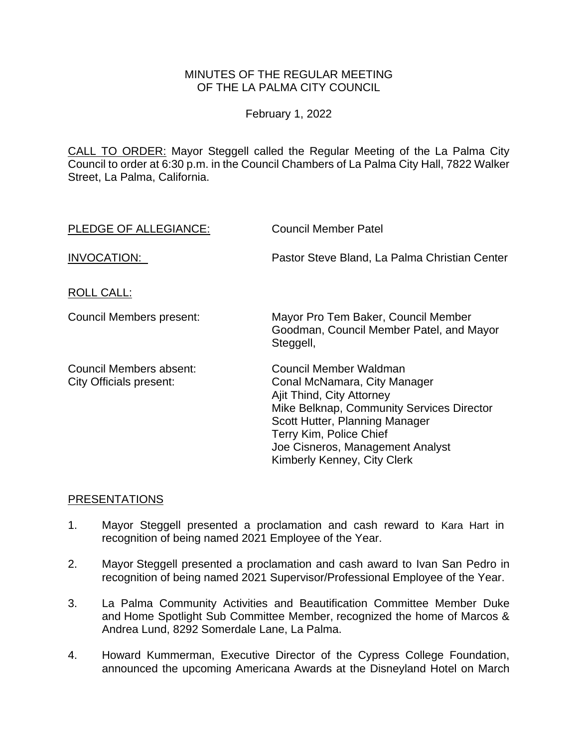### MINUTES OF THE REGULAR MEETING OF THE LA PALMA CITY COUNCIL

February 1, 2022

CALL TO ORDER: Mayor Steggell [called the Regular Meeting of the La Palma City](https://lapalma.granicus.com/MediaPlayer.php?view_id=&clip_id=1276&meta_id=171633)  [Council to order at 6:30 p.m. in the Council Chambers of La Palma City Hall, 7822 Walker](https://lapalma.granicus.com/MediaPlayer.php?view_id=&clip_id=1276&meta_id=171633)  [Street, La Palma, California.](https://lapalma.granicus.com/MediaPlayer.php?view_id=&clip_id=1276&meta_id=171633)

| PLEDGE OF ALLEGIANCE:                              | <b>Council Member Patel</b>                                                                                                                                                                                                                                      |
|----------------------------------------------------|------------------------------------------------------------------------------------------------------------------------------------------------------------------------------------------------------------------------------------------------------------------|
| INVOCATION:                                        | Pastor Steve Bland, La Palma Christian Center                                                                                                                                                                                                                    |
| <b>ROLL CALL:</b>                                  |                                                                                                                                                                                                                                                                  |
| Council Members present:                           | Mayor Pro Tem Baker, Council Member<br>Goodman, Council Member Patel, and Mayor<br>Steggell,                                                                                                                                                                     |
| Council Members absent:<br>City Officials present: | Council Member Waldman<br>Conal McNamara, City Manager<br>Ajit Thind, City Attorney<br>Mike Belknap, Community Services Director<br>Scott Hutter, Planning Manager<br>Terry Kim, Police Chief<br>Joe Cisneros, Management Analyst<br>Kimberly Kenney, City Clerk |

### [PRESENTATIONS](https://lapalma.granicus.com/MediaPlayer.php?view_id=&clip_id=1276&meta_id=171651)

- 1. [Mayor Steggell presented a proclamation and cash reward to](https://lapalma.granicus.com/MediaPlayer.php?view_id=&clip_id=1276&meta_id=171692) Kara Hart in [recognition of being named 2021](https://lapalma.granicus.com/MediaPlayer.php?view_id=&clip_id=1276&meta_id=171692) Employee of the Year.
- 2. Mayor Steggell [presented a proclamation and cash award to Ivan San Pedro](https://lapalma.granicus.com/MediaPlayer.php?view_id=&clip_id=1206&meta_id=161765) in recognition of being named 2021 [Supervisor/Professional Employee of the Year.](https://lapalma.granicus.com/MediaPlayer.php?view_id=&clip_id=1206&meta_id=161765)
- 3. [La Palma Community Activities and Beautification Committee Member Duke](https://lapalma.granicus.com/MediaPlayer.php?view_id=&clip_id=1272&meta_id=171319) and [Home Spotlight Sub Committee Member,](https://lapalma.granicus.com/MediaPlayer.php?view_id=&clip_id=1272&meta_id=171319) recognized the home of Marcos & [Andrea Lund, 8292 Somerdale Lane, La Palma.](https://lapalma.granicus.com/MediaPlayer.php?view_id=&clip_id=1272&meta_id=171319)
- 4. [Howard Kummerman, Executive Director of the Cypress College Foundation,](https://lapalma.granicus.com/MediaPlayer.php?view_id=&clip_id=1206&meta_id=161762)  [announced the upcoming Americana Awards at the Disneyland Hotel on March](https://lapalma.granicus.com/MediaPlayer.php?view_id=&clip_id=1206&meta_id=161762)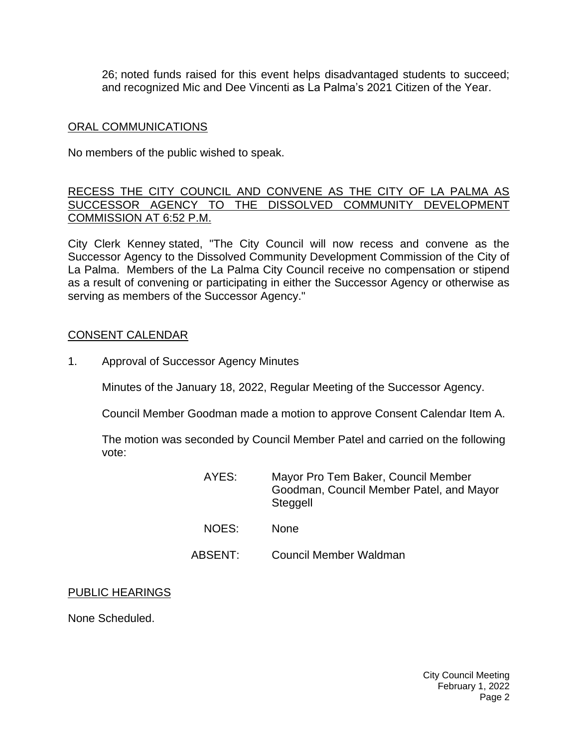26; [noted funds raised for this event helps disadvantaged students to succeed;](https://lapalma.granicus.com/MediaPlayer.php?view_id=&clip_id=1206&meta_id=161762)  [and recognized Mic and Dee Vincenti](https://lapalma.granicus.com/MediaPlayer.php?view_id=&clip_id=1206&meta_id=161762) as La Palma's 2021 Citizen of the Year.

#### [ORAL COMMUNICATIONS](https://lapalma.granicus.com/MediaPlayer.php?view_id=&clip_id=1276&meta_id=171653)

No members of the public wished to speak.

#### [RECESS THE CITY COUNCIL AND CONVENE AS THE CITY OF LA PALMA AS](https://lapalma.granicus.com/MediaPlayer.php?view_id=&clip_id=1276&meta_id=171661)  [SUCCESSOR AGENCY TO THE DISSOLVED COMMUNITY DEVELOPMENT](https://lapalma.granicus.com/MediaPlayer.php?view_id=&clip_id=1276&meta_id=171661)  [COMMISSION AT 6:52](https://lapalma.granicus.com/MediaPlayer.php?view_id=&clip_id=1276&meta_id=171661) P.M.

City Clerk Kenney stated, "The City Council will now recess and convene as the Successor Agency to the Dissolved Community Development Commission of the City of La Palma. Members of the La Palma City Council receive no compensation or stipend as a result of convening or participating in either the Successor Agency or otherwise as serving as members of the Successor Agency."

#### [CONSENT CALENDAR](https://lapalma.granicus.com/MediaPlayer.php?view_id=&clip_id=1276&meta_id=171655)

1. Approval of Successor Agency Minutes

Minutes of the January 18, 2022, Regular Meeting of the Successor Agency.

Council Member Goodman made a motion to approve Consent Calendar Item A.

The motion was seconded by Council Member Patel and carried on the following vote:

| AYES: | Mayor Pro Tem Baker, Council Member<br>Goodman, Council Member Patel, and Mayor<br>Steggell |
|-------|---------------------------------------------------------------------------------------------|
| NOES: | <b>None</b>                                                                                 |

- 
- ABSENT: Council Member Waldman

#### PUBLIC HEARINGS

None Scheduled.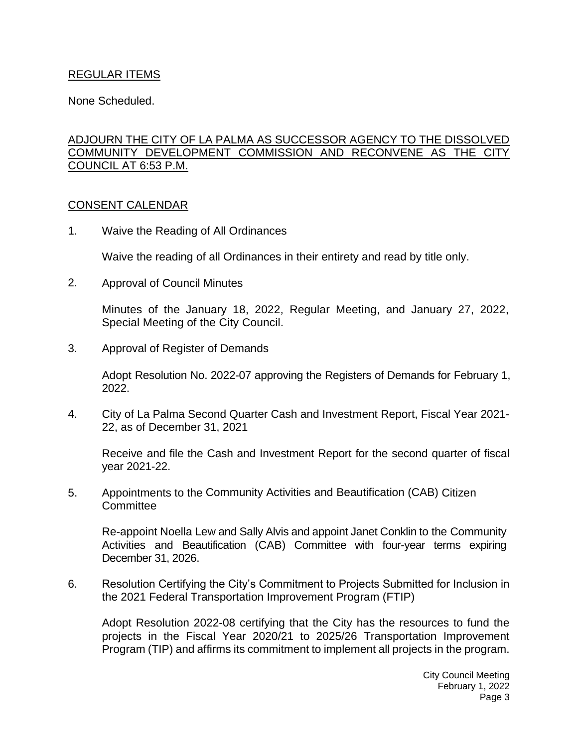## REGULAR ITEMS

None Scheduled.

# [ADJOURN THE CITY OF LA PALMA AS SUCCESSOR AGENCY TO THE DISSOLVED](https://lapalma.granicus.com/MediaPlayer.php?view_id=&clip_id=1276&meta_id=171663)  [COMMUNITY DEVELOPMENT COMMISSION AND RECONVENE AS THE CITY](https://lapalma.granicus.com/MediaPlayer.php?view_id=&clip_id=1276&meta_id=171663)  [COUNCIL AT 6:53](https://lapalma.granicus.com/MediaPlayer.php?view_id=&clip_id=1276&meta_id=171663) P.M.

### [CONSENT CALENDAR](https://lapalma.granicus.com/MediaPlayer.php?view_id=&clip_id=1276&meta_id=171665)

1. Waive the Reading of All Ordinances

Waive the reading of all Ordinances in their entirety and read by title only.

2. Approval of Council Minutes

Minutes of the January 18, 2022, Regular Meeting, and January 27, 2022, Special Meeting of the City Council.

3. Approval of Register of Demands

Adopt Resolution No. 2022-07 approving the Registers of Demands for February 1, 2022.

4. City of La Palma Second Quarter Cash and Investment Report, Fiscal Year 2021- 22, as of December 31, 2021

Receive and file the Cash and Investment Report for the second quarter of fiscal year 2021-22.

5. Appointments to the Community Activities and Beautification (CAB) Citizen **Committee** 

Re-appoint Noella Lew and Sally Alvis and appoint Janet Conklin to the Community Activities and Beautification (CAB) Committee with four-year terms expiring December 31, 2026.

6. Resolution Certifying the City's Commitment to Projects Submitted for Inclusion in the 2021 Federal Transportation Improvement Program (FTIP)

Adopt Resolution 2022-08 certifying that the City has the resources to fund the projects in the Fiscal Year 2020/21 to 2025/26 Transportation Improvement Program (TIP) and affirms its commitment to implement all projects in the program.

> City Council Meeting February 1, 2022 Page 3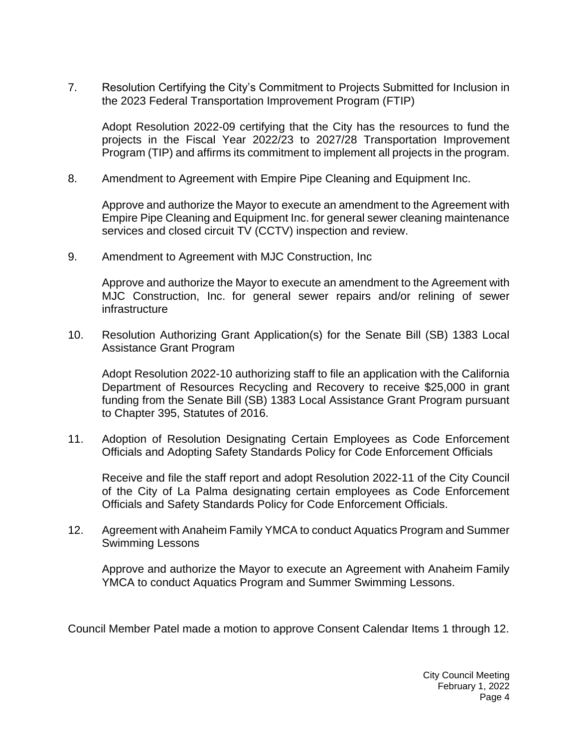7. Resolution Certifying the City's Commitment to Projects Submitted for Inclusion in the 2023 Federal Transportation Improvement Program (FTIP)

Adopt Resolution 2022-09 certifying that the City has the resources to fund the projects in the Fiscal Year 2022/23 to 2027/28 Transportation Improvement Program (TIP) and affirms its commitment to implement all projects in the program.

8. Amendment to Agreement with Empire Pipe Cleaning and Equipment Inc.

Approve and authorize the Mayor to execute an amendment to the Agreement with Empire Pipe Cleaning and Equipment Inc. for general sewer cleaning maintenance services and closed circuit TV (CCTV) inspection and review.

9. Amendment to Agreement with MJC Construction, Inc

Approve and authorize the Mayor to execute an amendment to the Agreement with MJC Construction, Inc. for general sewer repairs and/or relining of sewer infrastructure

10. Resolution Authorizing Grant Application(s) for the Senate Bill (SB) 1383 Local Assistance Grant Program

Adopt Resolution 2022-10 authorizing staff to file an application with the California Department of Resources Recycling and Recovery to receive \$25,000 in grant funding from the Senate Bill (SB) 1383 Local Assistance Grant Program pursuant to Chapter 395, Statutes of 2016.

11. Adoption of Resolution Designating Certain Employees as Code Enforcement Officials and Adopting Safety Standards Policy for Code Enforcement Officials

Receive and file the staff report and adopt Resolution 2022-11 of the City Council of the City of La Palma designating certain employees as Code Enforcement Officials and Safety Standards Policy for Code Enforcement Officials.

12. Agreement with Anaheim Family YMCA to conduct Aquatics Program and Summer Swimming Lessons

Approve and authorize the Mayor to execute an Agreement with Anaheim Family YMCA to conduct Aquatics Program and Summer Swimming Lessons.

Council Member Patel made a motion to approve Consent Calendar Items 1 through 12.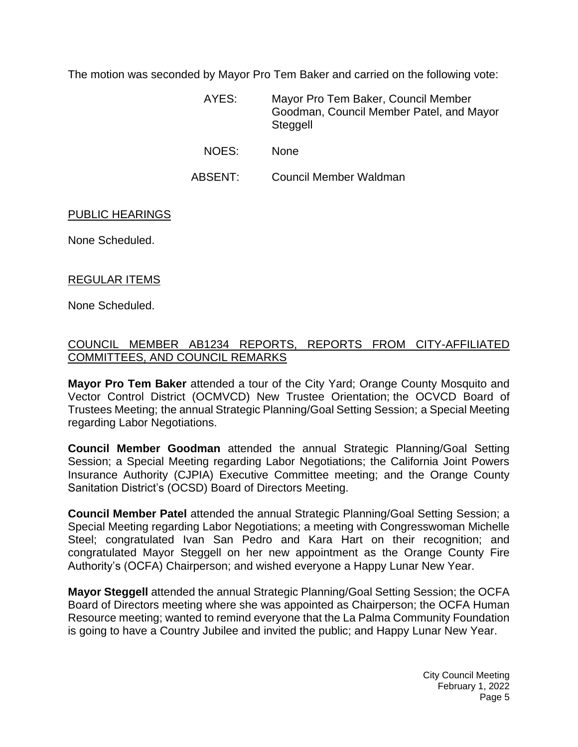The motion was seconded by Mayor Pro Tem Baker and carried on the following vote:

AYES: Mayor Pro Tem Baker, Council Member Goodman, Council Member Patel, and Mayor **Steggell** 

- NOES: None
- ABSENT: Council Member Waldman

[PUBLIC HEARINGS](https://lapalma.granicus.com/MediaPlayer.php?view_id=&clip_id=1276&meta_id=171667)

None Scheduled.

#### [REGULAR ITEMS](https://lapalma.granicus.com/MediaPlayer.php?view_id=&clip_id=1276&meta_id=171669)

None Scheduled.

### [COUNCIL MEMBER AB1234 REPORTS, REPORTS FROM CITY-AFFILIATED](https://lapalma.granicus.com/MediaPlayer.php?view_id=&clip_id=1276&meta_id=171671)  [COMMITTEES, AND COUNCIL REMARKS](https://lapalma.granicus.com/MediaPlayer.php?view_id=&clip_id=1276&meta_id=171671)

**Mayor Pro Tem Baker** attended a tour of the City Yard; Orange County Mosquito and Vector Control District (OCMVCD) New Trustee Orientation; the OCVCD Board of Trustees Meeting; the annual Strategic Planning/Goal Setting Session; a Special Meeting regarding Labor Negotiations.

**Council Member Goodman** attended the annual Strategic Planning/Goal Setting Session; a Special Meeting regarding Labor Negotiations; the California Joint Powers Insurance Authority (CJPIA) Executive Committee meeting; and the Orange County Sanitation District's (OCSD) Board of Directors Meeting.

**Council Member Patel** attended the annual Strategic Planning/Goal Setting Session; a Special Meeting regarding Labor Negotiations; a meeting with Congresswoman Michelle Steel; congratulated Ivan San Pedro and Kara Hart on their recognition; and congratulated Mayor Steggell on her new appointment as the Orange County Fire Authority's (OCFA) Chairperson; and wished everyone a Happy Lunar New Year.

**Mayor Steggell** attended the annual Strategic Planning/Goal Setting Session; the OCFA Board of Directors meeting where she was appointed as Chairperson; the OCFA Human Resource meeting; wanted to remind everyone that the La Palma Community Foundation is going to have a Country Jubilee and invited the public; and Happy Lunar New Year.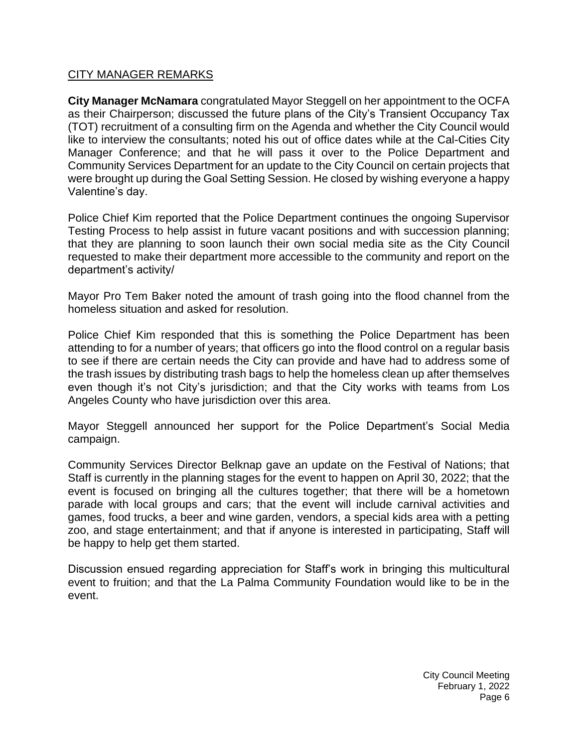## [CITY MANAGER REMARKS](https://lapalma.granicus.com/MediaPlayer.php?view_id=&clip_id=1276&meta_id=171673)

**City Manager McNamara** congratulated Mayor Steggell on her appointment to the OCFA as their Chairperson; discussed the future plans of the City's Transient Occupancy Tax (TOT) recruitment of a consulting firm on the Agenda and whether the City Council would like to interview the consultants; noted his out of office dates while at the Cal-Cities City Manager Conference; and that he will pass it over to the Police Department and Community Services Department for an update to the City Council on certain projects that were brought up during the Goal Setting Session. He closed by wishing everyone a happy Valentine's day.

Police Chief Kim reported that the Police Department continues the ongoing Supervisor Testing Process to help assist in future vacant positions and with succession planning; that they are planning to soon launch their own social media site as the City Council requested to make their department more accessible to the community and report on the department's activity/

Mayor Pro Tem Baker noted the amount of trash going into the flood channel from the homeless situation and asked for resolution.

Police Chief Kim responded that this is something the Police Department has been attending to for a number of years; that officers go into the flood control on a regular basis to see if there are certain needs the City can provide and have had to address some of the trash issues by distributing trash bags to help the homeless clean up after themselves even though it's not City's jurisdiction; and that the City works with teams from Los Angeles County who have jurisdiction over this area.

Mayor Steggell announced her support for the Police Department's Social Media campaign.

Community Services Director Belknap gave an update on the Festival of Nations; that Staff is currently in the planning stages for the event to happen on April 30, 2022; that the event is focused on bringing all the cultures together; that there will be a hometown parade with local groups and cars; that the event will include carnival activities and games, food trucks, a beer and wine garden, vendors, a special kids area with a petting zoo, and stage entertainment; and that if anyone is interested in participating, Staff will be happy to help get them started.

Discussion ensued regarding appreciation for Staff's work in bringing this multicultural event to fruition; and that the La Palma Community Foundation would like to be in the event.